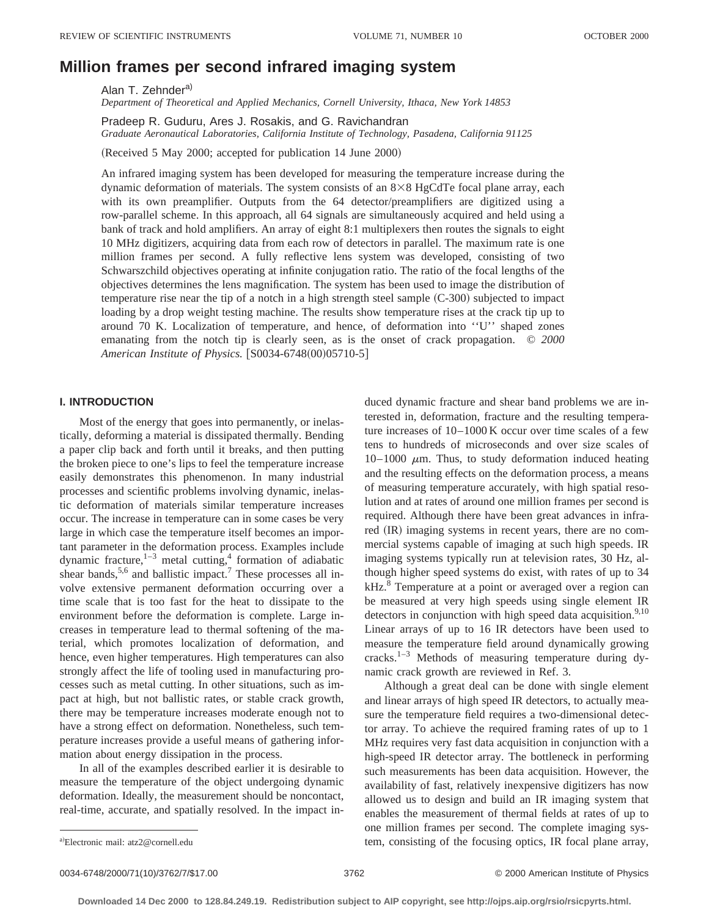# **Million frames per second infrared imaging system**

Alan T. Zehnder<sup>a)</sup>

*Department of Theoretical and Applied Mechanics, Cornell University, Ithaca, New York 14853*

Pradeep R. Guduru, Ares J. Rosakis, and G. Ravichandran *Graduate Aeronautical Laboratories, California Institute of Technology, Pasadena, California 91125*

(Received 5 May 2000; accepted for publication 14 June 2000)

An infrared imaging system has been developed for measuring the temperature increase during the dynamic deformation of materials. The system consists of an  $8\times 8$  HgCdTe focal plane array, each with its own preamplifier. Outputs from the 64 detector/preamplifiers are digitized using a row-parallel scheme. In this approach, all 64 signals are simultaneously acquired and held using a bank of track and hold amplifiers. An array of eight 8:1 multiplexers then routes the signals to eight 10 MHz digitizers, acquiring data from each row of detectors in parallel. The maximum rate is one million frames per second. A fully reflective lens system was developed, consisting of two Schwarszchild objectives operating at infinite conjugation ratio. The ratio of the focal lengths of the objectives determines the lens magnification. The system has been used to image the distribution of temperature rise near the tip of a notch in a high strength steel sample  $(C-300)$  subjected to impact loading by a drop weight testing machine. The results show temperature rises at the crack tip up to around 70 K. Localization of temperature, and hence, of deformation into ''U'' shaped zones emanating from the notch tip is clearly seen, as is the onset of crack propagation. © *2000 American Institute of Physics.* [S0034-6748(00)05710-5]

# **I. INTRODUCTION**

Most of the energy that goes into permanently, or inelastically, deforming a material is dissipated thermally. Bending a paper clip back and forth until it breaks, and then putting the broken piece to one's lips to feel the temperature increase easily demonstrates this phenomenon. In many industrial processes and scientific problems involving dynamic, inelastic deformation of materials similar temperature increases occur. The increase in temperature can in some cases be very large in which case the temperature itself becomes an important parameter in the deformation process. Examples include dynamic fracture, $1-3$  metal cutting,<sup>4</sup> formation of adiabatic shear bands,  $5,6$  and ballistic impact.<sup>7</sup> These processes all involve extensive permanent deformation occurring over a time scale that is too fast for the heat to dissipate to the environment before the deformation is complete. Large increases in temperature lead to thermal softening of the material, which promotes localization of deformation, and hence, even higher temperatures. High temperatures can also strongly affect the life of tooling used in manufacturing processes such as metal cutting. In other situations, such as impact at high, but not ballistic rates, or stable crack growth, there may be temperature increases moderate enough not to have a strong effect on deformation. Nonetheless, such temperature increases provide a useful means of gathering information about energy dissipation in the process.

In all of the examples described earlier it is desirable to measure the temperature of the object undergoing dynamic deformation. Ideally, the measurement should be noncontact, real-time, accurate, and spatially resolved. In the impact induced dynamic fracture and shear band problems we are interested in, deformation, fracture and the resulting temperature increases of 10–1000 K occur over time scales of a few tens to hundreds of microseconds and over size scales of  $10-1000 \mu m$ . Thus, to study deformation induced heating and the resulting effects on the deformation process, a means of measuring temperature accurately, with high spatial resolution and at rates of around one million frames per second is required. Although there have been great advances in infrared (IR) imaging systems in recent years, there are no commercial systems capable of imaging at such high speeds. IR imaging systems typically run at television rates, 30 Hz, although higher speed systems do exist, with rates of up to 34 kHz.<sup>8</sup> Temperature at a point or averaged over a region can be measured at very high speeds using single element IR detectors in conjunction with high speed data acquisition. $9,10$ Linear arrays of up to 16 IR detectors have been used to measure the temperature field around dynamically growing cracks.<sup>1–3</sup> Methods of measuring temperature during dynamic crack growth are reviewed in Ref. 3.

Although a great deal can be done with single element and linear arrays of high speed IR detectors, to actually measure the temperature field requires a two-dimensional detector array. To achieve the required framing rates of up to 1 MHz requires very fast data acquisition in conjunction with a high-speed IR detector array. The bottleneck in performing such measurements has been data acquisition. However, the availability of fast, relatively inexpensive digitizers has now allowed us to design and build an IR imaging system that enables the measurement of thermal fields at rates of up to one million frames per second. The complete imaging system, consisting of the focusing optics, IR focal plane array,

0034-6748/2000/71(10)/3762/7/\$17.00 3762 3762 3762 2000 American Institute of Physics

Electronic mail: atz2@cornell.edu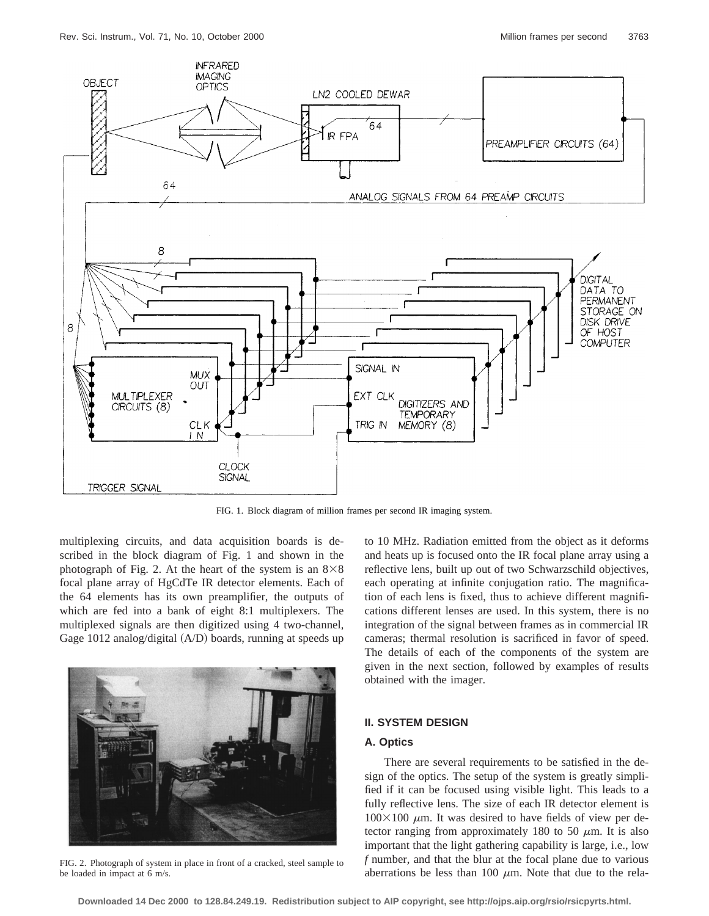

FIG. 1. Block diagram of million frames per second IR imaging system.

multiplexing circuits, and data acquisition boards is described in the block diagram of Fig. 1 and shown in the photograph of Fig. 2. At the heart of the system is an  $8\times8$ focal plane array of HgCdTe IR detector elements. Each of the 64 elements has its own preamplifier, the outputs of which are fed into a bank of eight 8:1 multiplexers. The multiplexed signals are then digitized using 4 two-channel, Gage  $1012$  analog/digital  $(A/D)$  boards, running at speeds up



FIG. 2. Photograph of system in place in front of a cracked, steel sample to be loaded in impact at 6 m/s.

to 10 MHz. Radiation emitted from the object as it deforms and heats up is focused onto the IR focal plane array using a reflective lens, built up out of two Schwarzschild objectives, each operating at infinite conjugation ratio. The magnification of each lens is fixed, thus to achieve different magnifications different lenses are used. In this system, there is no integration of the signal between frames as in commercial IR cameras; thermal resolution is sacrificed in favor of speed. The details of each of the components of the system are given in the next section, followed by examples of results obtained with the imager.

#### **II. SYSTEM DESIGN**

# **A. Optics**

There are several requirements to be satisfied in the design of the optics. The setup of the system is greatly simplified if it can be focused using visible light. This leads to a fully reflective lens. The size of each IR detector element is  $100\times100$   $\mu$ m. It was desired to have fields of view per detector ranging from approximately 180 to 50  $\mu$ m. It is also important that the light gathering capability is large, i.e., low *f* number, and that the blur at the focal plane due to various aberrations be less than 100  $\mu$ m. Note that due to the rela-

**Downloaded 14 Dec 2000 to 128.84.249.19. Redistribution subject to AIP copyright, see http://ojps.aip.org/rsio/rsicpyrts.html.**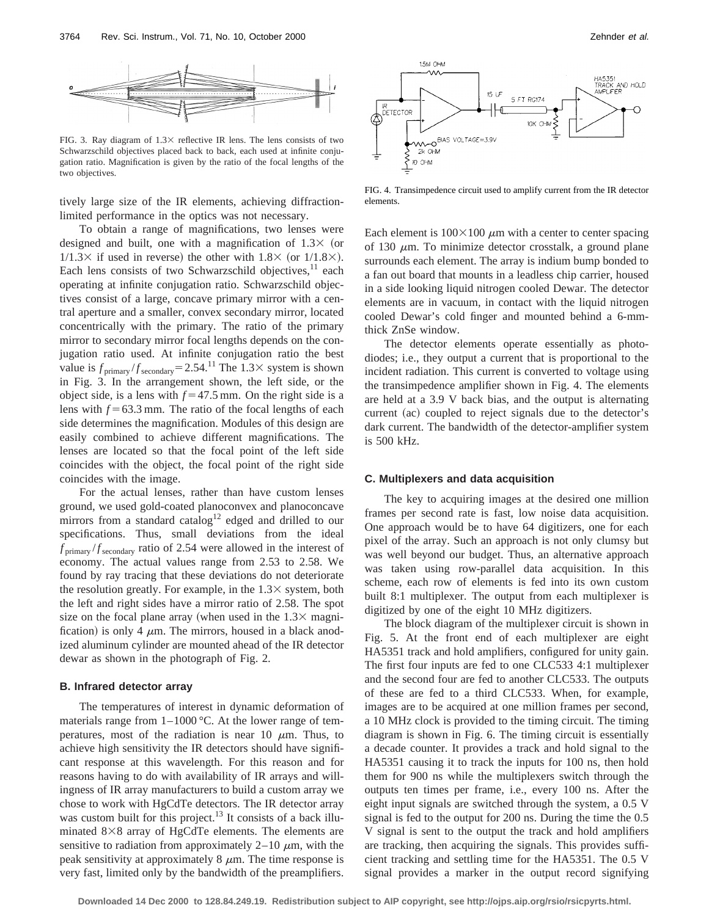

FIG. 3. Ray diagram of  $1.3\times$  reflective IR lens. The lens consists of two Schwarzschild objectives placed back to back, each used at infinite conjugation ratio. Magnification is given by the ratio of the focal lengths of the two objectives.

tively large size of the IR elements, achieving diffractionlimited performance in the optics was not necessary.

To obtain a range of magnifications, two lenses were designed and built, one with a magnification of  $1.3 \times$  (or  $1/1.3 \times$  if used in reverse) the other with  $1.8 \times$  (or  $1/1.8 \times$ ). Each lens consists of two Schwarzschild objectives, $11$  each operating at infinite conjugation ratio. Schwarzschild objectives consist of a large, concave primary mirror with a central aperture and a smaller, convex secondary mirror, located concentrically with the primary. The ratio of the primary mirror to secondary mirror focal lengths depends on the conjugation ratio used. At infinite conjugation ratio the best value is  $f_{\text{primary}}/f_{\text{secondary}} = 2.54$ .<sup>11</sup> The 1.3× system is shown in Fig. 3. In the arrangement shown, the left side, or the object side, is a lens with  $f = 47.5$  mm. On the right side is a lens with  $f = 63.3$  mm. The ratio of the focal lengths of each side determines the magnification. Modules of this design are easily combined to achieve different magnifications. The lenses are located so that the focal point of the left side coincides with the object, the focal point of the right side coincides with the image.

For the actual lenses, rather than have custom lenses ground, we used gold-coated planoconvex and planoconcave mirrors from a standard catalog<sup>12</sup> edged and drilled to our specifications. Thus, small deviations from the ideal  $f_{\text{primary}}/f_{\text{secondary}}$  ratio of 2.54 were allowed in the interest of economy. The actual values range from 2.53 to 2.58. We found by ray tracing that these deviations do not deteriorate the resolution greatly. For example, in the  $1.3\times$  system, both the left and right sides have a mirror ratio of 2.58. The spot size on the focal plane array (when used in the  $1.3\times$  magnification) is only 4  $\mu$ m. The mirrors, housed in a black anodized aluminum cylinder are mounted ahead of the IR detector dewar as shown in the photograph of Fig. 2.

#### **B. Infrared detector array**

The temperatures of interest in dynamic deformation of materials range from  $1-1000$  °C. At the lower range of temperatures, most of the radiation is near 10  $\mu$ m. Thus, to achieve high sensitivity the IR detectors should have significant response at this wavelength. For this reason and for reasons having to do with availability of IR arrays and willingness of IR array manufacturers to build a custom array we chose to work with HgCdTe detectors. The IR detector array was custom built for this project.<sup>13</sup> It consists of a back illuminated  $8\times 8$  array of HgCdTe elements. The elements are sensitive to radiation from approximately  $2-10 \mu m$ , with the peak sensitivity at approximately  $8 \mu m$ . The time response is very fast, limited only by the bandwidth of the preamplifiers.



FIG. 4. Transimpedence circuit used to amplify current from the IR detector elements.

Each element is  $100\times100 \mu$ m with a center to center spacing of 130  $\mu$ m. To minimize detector crosstalk, a ground plane surrounds each element. The array is indium bump bonded to a fan out board that mounts in a leadless chip carrier, housed in a side looking liquid nitrogen cooled Dewar. The detector elements are in vacuum, in contact with the liquid nitrogen cooled Dewar's cold finger and mounted behind a 6-mmthick ZnSe window.

The detector elements operate essentially as photodiodes; i.e., they output a current that is proportional to the incident radiation. This current is converted to voltage using the transimpedence amplifier shown in Fig. 4. The elements are held at a 3.9 V back bias, and the output is alternating current (ac) coupled to reject signals due to the detector's dark current. The bandwidth of the detector-amplifier system is 500 kHz.

#### **C. Multiplexers and data acquisition**

The key to acquiring images at the desired one million frames per second rate is fast, low noise data acquisition. One approach would be to have 64 digitizers, one for each pixel of the array. Such an approach is not only clumsy but was well beyond our budget. Thus, an alternative approach was taken using row-parallel data acquisition. In this scheme, each row of elements is fed into its own custom built 8:1 multiplexer. The output from each multiplexer is digitized by one of the eight 10 MHz digitizers.

The block diagram of the multiplexer circuit is shown in Fig. 5. At the front end of each multiplexer are eight HA5351 track and hold amplifiers, configured for unity gain. The first four inputs are fed to one CLC533 4:1 multiplexer and the second four are fed to another CLC533. The outputs of these are fed to a third CLC533. When, for example, images are to be acquired at one million frames per second, a 10 MHz clock is provided to the timing circuit. The timing diagram is shown in Fig. 6. The timing circuit is essentially a decade counter. It provides a track and hold signal to the HA5351 causing it to track the inputs for 100 ns, then hold them for 900 ns while the multiplexers switch through the outputs ten times per frame, i.e., every 100 ns. After the eight input signals are switched through the system, a 0.5 V signal is fed to the output for 200 ns. During the time the 0.5 V signal is sent to the output the track and hold amplifiers are tracking, then acquiring the signals. This provides sufficient tracking and settling time for the HA5351. The 0.5 V signal provides a marker in the output record signifying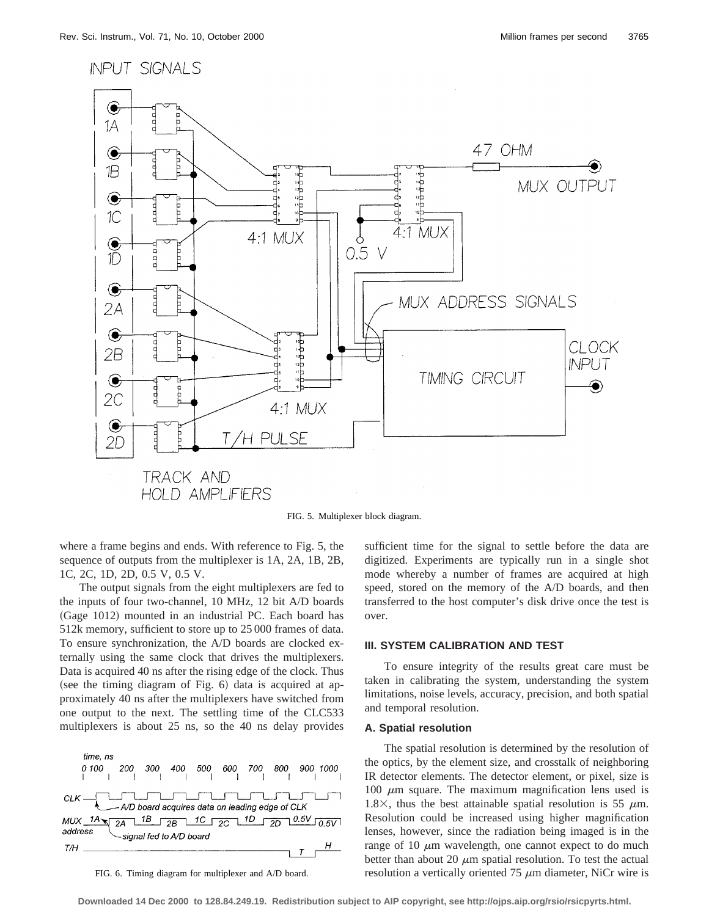

FIG. 5. Multiplexer block diagram.

where a frame begins and ends. With reference to Fig. 5, the sequence of outputs from the multiplexer is 1A, 2A, 1B, 2B, 1C, 2C, 1D, 2D, 0.5 V, 0.5 V.

The output signals from the eight multiplexers are fed to the inputs of four two-channel, 10 MHz, 12 bit A/D boards (Gage 1012) mounted in an industrial PC. Each board has 512k memory, sufficient to store up to 25 000 frames of data. To ensure synchronization, the A/D boards are clocked externally using the same clock that drives the multiplexers. Data is acquired 40 ns after the rising edge of the clock. Thus (see the timing diagram of Fig.  $6$ ) data is acquired at approximately 40 ns after the multiplexers have switched from one output to the next. The settling time of the CLC533 multiplexers is about 25 ns, so the 40 ns delay provides



FIG. 6. Timing diagram for multiplexer and A/D board.

sufficient time for the signal to settle before the data are digitized. Experiments are typically run in a single shot mode whereby a number of frames are acquired at high speed, stored on the memory of the A/D boards, and then transferred to the host computer's disk drive once the test is over.

#### **III. SYSTEM CALIBRATION AND TEST**

To ensure integrity of the results great care must be taken in calibrating the system, understanding the system limitations, noise levels, accuracy, precision, and both spatial and temporal resolution.

## **A. Spatial resolution**

The spatial resolution is determined by the resolution of the optics, by the element size, and crosstalk of neighboring IR detector elements. The detector element, or pixel, size is 100  $\mu$ m square. The maximum magnification lens used is 1.8 $\times$ , thus the best attainable spatial resolution is 55  $\mu$ m. Resolution could be increased using higher magnification lenses, however, since the radiation being imaged is in the range of 10  $\mu$ m wavelength, one cannot expect to do much better than about 20  $\mu$ m spatial resolution. To test the actual resolution a vertically oriented 75  $\mu$ m diameter, NiCr wire is

**Downloaded 14 Dec 2000 to 128.84.249.19. Redistribution subject to AIP copyright, see http://ojps.aip.org/rsio/rsicpyrts.html.**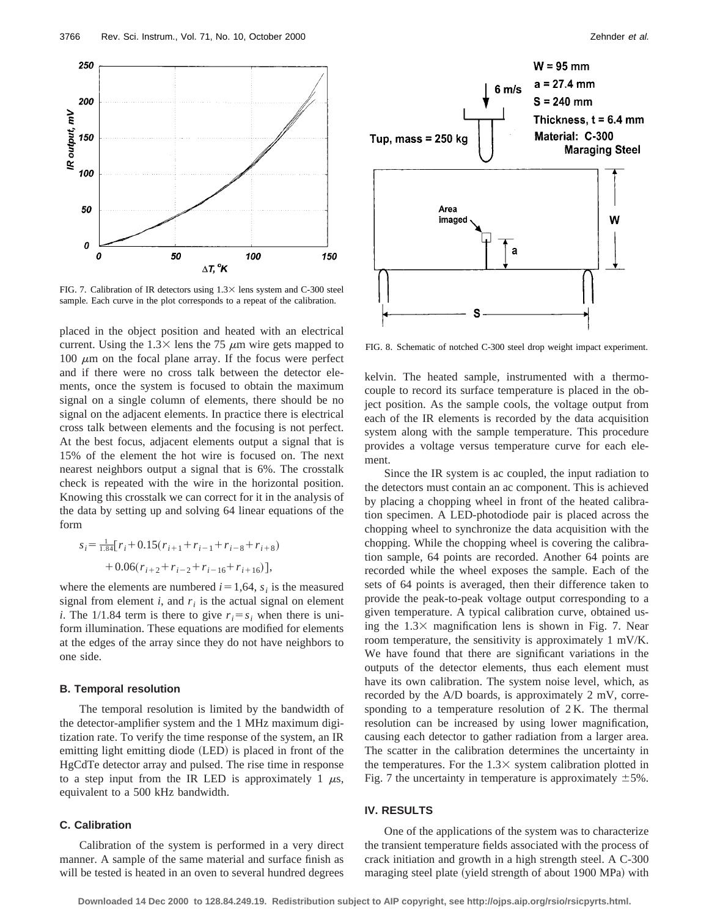

FIG. 7. Calibration of IR detectors using  $1.3 \times$  lens system and C-300 steel sample. Each curve in the plot corresponds to a repeat of the calibration.

placed in the object position and heated with an electrical current. Using the  $1.3\times$  lens the 75  $\mu$ m wire gets mapped to 100  $\mu$ m on the focal plane array. If the focus were perfect and if there were no cross talk between the detector elements, once the system is focused to obtain the maximum signal on a single column of elements, there should be no signal on the adjacent elements. In practice there is electrical cross talk between elements and the focusing is not perfect. At the best focus, adjacent elements output a signal that is 15% of the element the hot wire is focused on. The next nearest neighbors output a signal that is 6%. The crosstalk check is repeated with the wire in the horizontal position. Knowing this crosstalk we can correct for it in the analysis of the data by setting up and solving 64 linear equations of the form

$$
s_i = \frac{1}{1.84} [r_i + 0.15(r_{i+1} + r_{i-1} + r_{i-8} + r_{i+8})
$$
  
+ 0.06(r\_{i+2} + r\_{i-2} + r\_{i-16} + r\_{i+16})],

where the elements are numbered  $i=1,64$ ,  $s_i$  is the measured signal from element  $i$ , and  $r_i$  is the actual signal on element *i*. The 1/1.84 term is there to give  $r_i = s_i$  when there is uniform illumination. These equations are modified for elements at the edges of the array since they do not have neighbors to one side.

#### **B. Temporal resolution**

The temporal resolution is limited by the bandwidth of the detector-amplifier system and the 1 MHz maximum digitization rate. To verify the time response of the system, an IR emitting light emitting diode (LED) is placed in front of the HgCdTe detector array and pulsed. The rise time in response to a step input from the IR LED is approximately 1  $\mu$ s, equivalent to a 500 kHz bandwidth.

## **C. Calibration**

Calibration of the system is performed in a very direct manner. A sample of the same material and surface finish as will be tested is heated in an oven to several hundred degrees



FIG. 8. Schematic of notched C-300 steel drop weight impact experiment.

kelvin. The heated sample, instrumented with a thermocouple to record its surface temperature is placed in the object position. As the sample cools, the voltage output from each of the IR elements is recorded by the data acquisition system along with the sample temperature. This procedure provides a voltage versus temperature curve for each element.

Since the IR system is ac coupled, the input radiation to the detectors must contain an ac component. This is achieved by placing a chopping wheel in front of the heated calibration specimen. A LED-photodiode pair is placed across the chopping wheel to synchronize the data acquisition with the chopping. While the chopping wheel is covering the calibration sample, 64 points are recorded. Another 64 points are recorded while the wheel exposes the sample. Each of the sets of 64 points is averaged, then their difference taken to provide the peak-to-peak voltage output corresponding to a given temperature. A typical calibration curve, obtained using the  $1.3\times$  magnification lens is shown in Fig. 7. Near room temperature, the sensitivity is approximately 1 mV/K. We have found that there are significant variations in the outputs of the detector elements, thus each element must have its own calibration. The system noise level, which, as recorded by the A/D boards, is approximately 2 mV, corresponding to a temperature resolution of 2 K. The thermal resolution can be increased by using lower magnification, causing each detector to gather radiation from a larger area. The scatter in the calibration determines the uncertainty in the temperatures. For the  $1.3\times$  system calibration plotted in Fig. 7 the uncertainty in temperature is approximately  $\pm 5\%$ .

# **IV. RESULTS**

One of the applications of the system was to characterize the transient temperature fields associated with the process of crack initiation and growth in a high strength steel. A C-300 maraging steel plate (yield strength of about 1900 MPa) with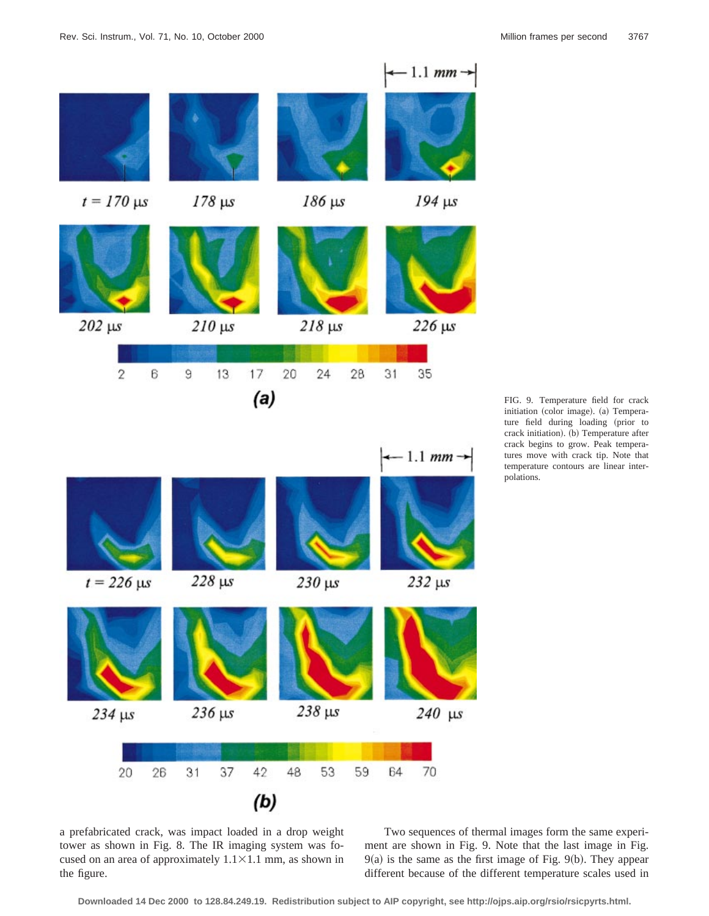

FIG. 9. Temperature field for crack initiation (color image). (a) Temperature field during loading (prior to crack initiation). (b) Temperature after crack begins to grow. Peak temperatures move with crack tip. Note that temperature contours are linear interpolations.

a prefabricated crack, was impact loaded in a drop weight tower as shown in Fig. 8. The IR imaging system was focused on an area of approximately  $1.1 \times 1.1$  mm, as shown in the figure.

Two sequences of thermal images form the same experiment are shown in Fig. 9. Note that the last image in Fig.  $9(a)$  is the same as the first image of Fig.  $9(b)$ . They appear different because of the different temperature scales used in

**Downloaded 14 Dec 2000 to 128.84.249.19. Redistribution subject to AIP copyright, see http://ojps.aip.org/rsio/rsicpyrts.html.**